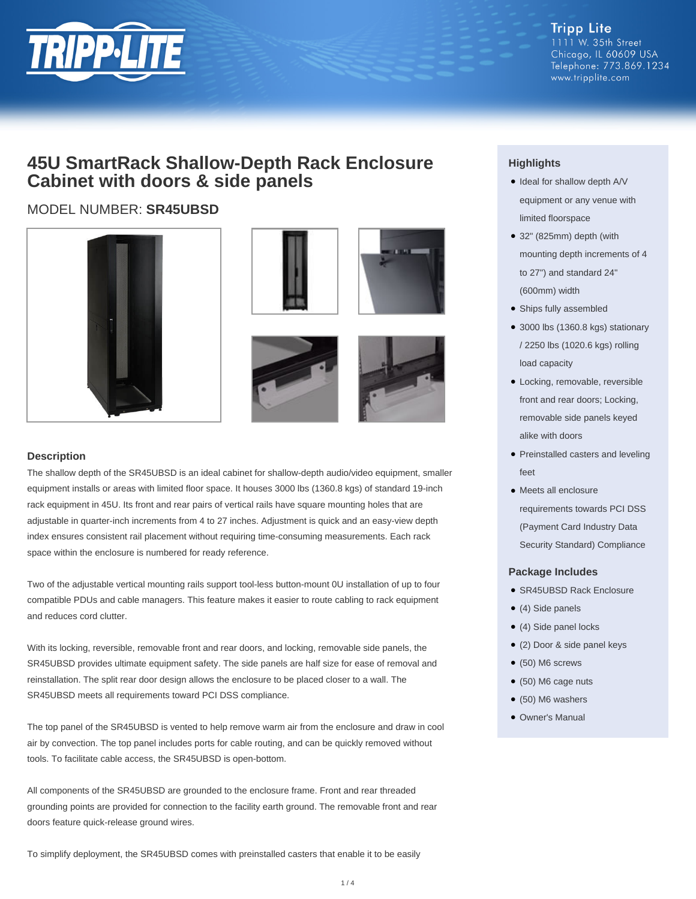

**Tripp Lite** 1111 W. 35th Street Chicago, IL 60609 USA Telephone: 773.869.1234 www.tripplite.com

## **45U SmartRack Shallow-Depth Rack Enclosure Cabinet with doors & side panels**

### MODEL NUMBER: **SR45UBSD**







#### **Description**

The shallow depth of the SR45UBSD is an ideal cabinet for shallow-depth audio/video equipment, smaller equipment installs or areas with limited floor space. It houses 3000 lbs (1360.8 kgs) of standard 19-inch rack equipment in 45U. Its front and rear pairs of vertical rails have square mounting holes that are adjustable in quarter-inch increments from 4 to 27 inches. Adjustment is quick and an easy-view depth index ensures consistent rail placement without requiring time-consuming measurements. Each rack space within the enclosure is numbered for ready reference.

Two of the adjustable vertical mounting rails support tool-less button-mount 0U installation of up to four compatible PDUs and cable managers. This feature makes it easier to route cabling to rack equipment and reduces cord clutter.

With its locking, reversible, removable front and rear doors, and locking, removable side panels, the SR45UBSD provides ultimate equipment safety. The side panels are half size for ease of removal and reinstallation. The split rear door design allows the enclosure to be placed closer to a wall. The SR45UBSD meets all requirements toward PCI DSS compliance.

The top panel of the SR45UBSD is vented to help remove warm air from the enclosure and draw in cool air by convection. The top panel includes ports for cable routing, and can be quickly removed without tools. To facilitate cable access, the SR45UBSD is open-bottom.

All components of the SR45UBSD are grounded to the enclosure frame. Front and rear threaded grounding points are provided for connection to the facility earth ground. The removable front and rear doors feature quick-release ground wires.

To simplify deployment, the SR45UBSD comes with preinstalled casters that enable it to be easily

### **Highlights**

- Ideal for shallow depth A/V equipment or any venue with limited floorspace
- 32" (825mm) depth (with mounting depth increments of 4 to 27") and standard 24" (600mm) width
- Ships fully assembled
- 3000 lbs (1360.8 kgs) stationary / 2250 lbs (1020.6 kgs) rolling load capacity
- Locking, removable, reversible front and rear doors; Locking, removable side panels keyed alike with doors
- Preinstalled casters and leveling feet
- Meets all enclosure requirements towards PCI DSS (Payment Card Industry Data Security Standard) Compliance

#### **Package Includes**

- SR45UBSD Rack Enclosure
- (4) Side panels
- (4) Side panel locks
- (2) Door & side panel keys
- $\bullet$  (50) M6 screws
- (50) M6 cage nuts
- $\bullet$  (50) M6 washers
- Owner's Manual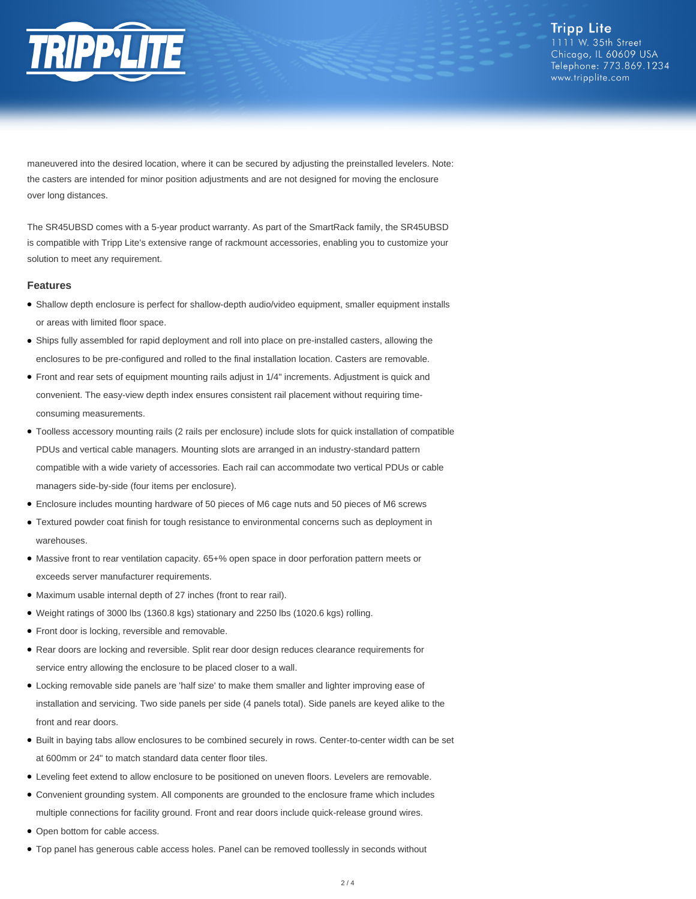

maneuvered into the desired location, where it can be secured by adjusting the preinstalled levelers. Note: the casters are intended for minor position adjustments and are not designed for moving the enclosure over long distances.

The SR45UBSD comes with a 5-year product warranty. As part of the SmartRack family, the SR45UBSD is compatible with Tripp Lite's extensive range of rackmount accessories, enabling you to customize your solution to meet any requirement.

#### **Features**

- Shallow depth enclosure is perfect for shallow-depth audio/video equipment, smaller equipment installs or areas with limited floor space.
- Ships fully assembled for rapid deployment and roll into place on pre-installed casters, allowing the enclosures to be pre-configured and rolled to the final installation location. Casters are removable.
- Front and rear sets of equipment mounting rails adjust in 1/4" increments. Adjustment is quick and convenient. The easy-view depth index ensures consistent rail placement without requiring timeconsuming measurements.
- Toolless accessory mounting rails (2 rails per enclosure) include slots for quick installation of compatible PDUs and vertical cable managers. Mounting slots are arranged in an industry-standard pattern compatible with a wide variety of accessories. Each rail can accommodate two vertical PDUs or cable managers side-by-side (four items per enclosure).
- Enclosure includes mounting hardware of 50 pieces of M6 cage nuts and 50 pieces of M6 screws
- Textured powder coat finish for tough resistance to environmental concerns such as deployment in warehouses.
- Massive front to rear ventilation capacity. 65+% open space in door perforation pattern meets or exceeds server manufacturer requirements.
- Maximum usable internal depth of 27 inches (front to rear rail).
- Weight ratings of 3000 lbs (1360.8 kgs) stationary and 2250 lbs (1020.6 kgs) rolling.
- Front door is locking, reversible and removable.
- Rear doors are locking and reversible. Split rear door design reduces clearance requirements for service entry allowing the enclosure to be placed closer to a wall.
- Locking removable side panels are 'half size' to make them smaller and lighter improving ease of installation and servicing. Two side panels per side (4 panels total). Side panels are keyed alike to the front and rear doors.
- Built in baying tabs allow enclosures to be combined securely in rows. Center-to-center width can be set at 600mm or 24" to match standard data center floor tiles.
- Leveling feet extend to allow enclosure to be positioned on uneven floors. Levelers are removable.
- Convenient grounding system. All components are grounded to the enclosure frame which includes multiple connections for facility ground. Front and rear doors include quick-release ground wires.
- Open bottom for cable access.
- Top panel has generous cable access holes. Panel can be removed toollessly in seconds without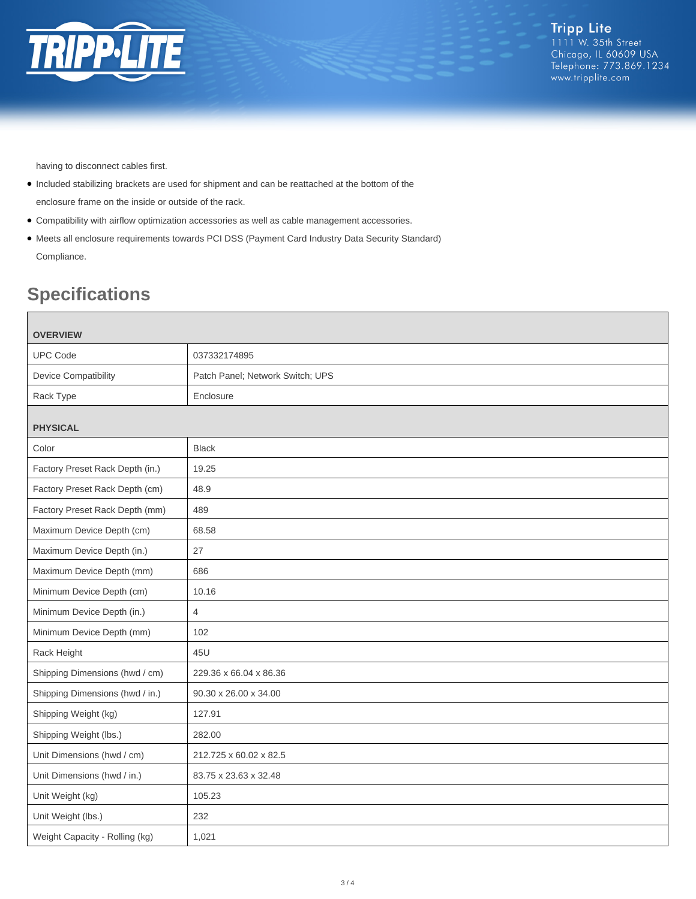

having to disconnect cables first.

- Included stabilizing brackets are used for shipment and can be reattached at the bottom of the enclosure frame on the inside or outside of the rack.
- Compatibility with airflow optimization accessories as well as cable management accessories.
- Meets all enclosure requirements towards PCI DSS (Payment Card Industry Data Security Standard) Compliance.

# **Specifications**

| <b>OVERVIEW</b>                 |                                  |
|---------------------------------|----------------------------------|
| <b>UPC Code</b>                 | 037332174895                     |
| <b>Device Compatibility</b>     | Patch Panel; Network Switch; UPS |
| Rack Type                       | Enclosure                        |
| <b>PHYSICAL</b>                 |                                  |
| Color                           | <b>Black</b>                     |
| Factory Preset Rack Depth (in.) | 19.25                            |
| Factory Preset Rack Depth (cm)  | 48.9                             |
| Factory Preset Rack Depth (mm)  | 489                              |
| Maximum Device Depth (cm)       | 68.58                            |
| Maximum Device Depth (in.)      | 27                               |
| Maximum Device Depth (mm)       | 686                              |
| Minimum Device Depth (cm)       | 10.16                            |
| Minimum Device Depth (in.)      | $\overline{4}$                   |
| Minimum Device Depth (mm)       | 102                              |
| Rack Height                     | 45U                              |
| Shipping Dimensions (hwd / cm)  | 229.36 x 66.04 x 86.36           |
| Shipping Dimensions (hwd / in.) | 90.30 x 26.00 x 34.00            |
| Shipping Weight (kg)            | 127.91                           |
| Shipping Weight (lbs.)          | 282.00                           |
| Unit Dimensions (hwd / cm)      | 212.725 x 60.02 x 82.5           |
| Unit Dimensions (hwd / in.)     | 83.75 x 23.63 x 32.48            |
| Unit Weight (kg)                | 105.23                           |
| Unit Weight (lbs.)              | 232                              |
| Weight Capacity - Rolling (kg)  | 1,021                            |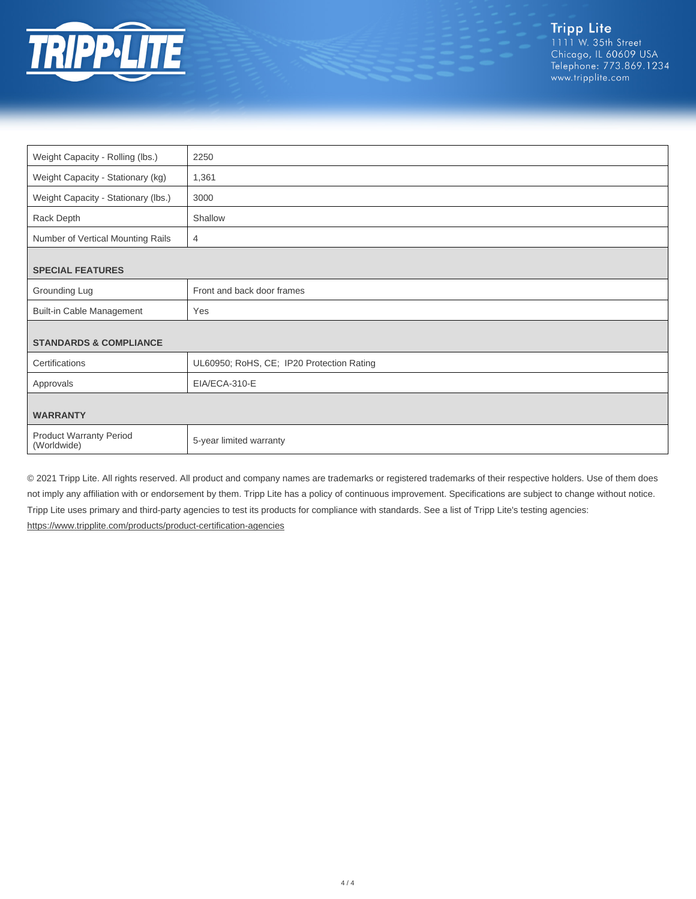

| Weight Capacity - Rolling (lbs.)              | 2250                                      |
|-----------------------------------------------|-------------------------------------------|
| Weight Capacity - Stationary (kg)             | 1,361                                     |
| Weight Capacity - Stationary (lbs.)           | 3000                                      |
| Rack Depth                                    | Shallow                                   |
| Number of Vertical Mounting Rails             | 4                                         |
|                                               |                                           |
| <b>SPECIAL FEATURES</b>                       |                                           |
| Grounding Lug                                 | Front and back door frames                |
| <b>Built-in Cable Management</b>              | Yes                                       |
|                                               |                                           |
| <b>STANDARDS &amp; COMPLIANCE</b>             |                                           |
| Certifications                                | UL60950; RoHS, CE; IP20 Protection Rating |
| Approvals                                     | EIA/ECA-310-E                             |
|                                               |                                           |
| <b>WARRANTY</b>                               |                                           |
| <b>Product Warranty Period</b><br>(Worldwide) | 5-year limited warranty                   |

© 2021 Tripp Lite. All rights reserved. All product and company names are trademarks or registered trademarks of their respective holders. Use of them does not imply any affiliation with or endorsement by them. Tripp Lite has a policy of continuous improvement. Specifications are subject to change without notice. Tripp Lite uses primary and third-party agencies to test its products for compliance with standards. See a list of Tripp Lite's testing agencies: <https://www.tripplite.com/products/product-certification-agencies>